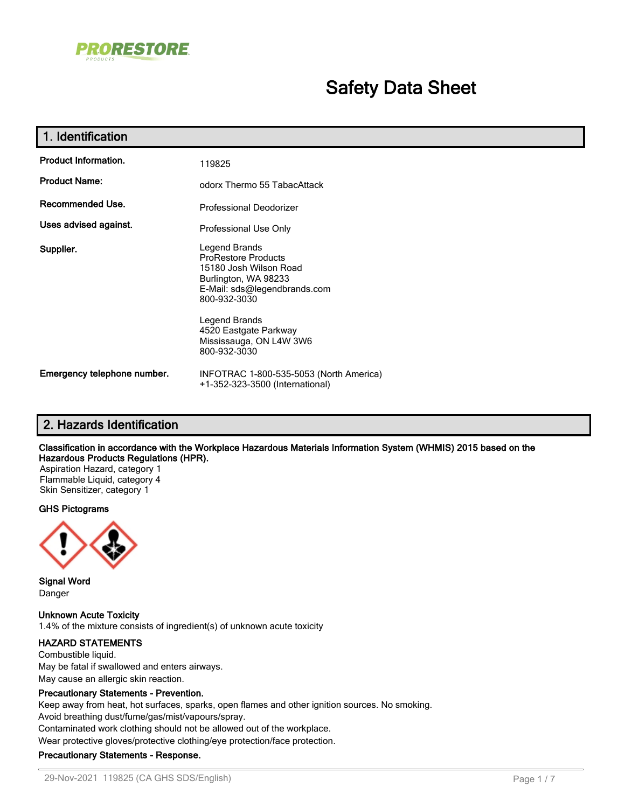

# **Safety Data Sheet**

| 1. Identification           |                                                                                                                                               |  |
|-----------------------------|-----------------------------------------------------------------------------------------------------------------------------------------------|--|
| <b>Product Information.</b> | 119825                                                                                                                                        |  |
| <b>Product Name:</b>        | odorx Thermo 55 TabacAttack                                                                                                                   |  |
| Recommended Use.            | Professional Deodorizer                                                                                                                       |  |
| Uses advised against.       | Professional Use Only                                                                                                                         |  |
| Supplier.                   | Legend Brands<br><b>ProRestore Products</b><br>15180 Josh Wilson Road<br>Burlington, WA 98233<br>E-Mail: sds@legendbrands.com<br>800-932-3030 |  |
|                             | Legend Brands<br>4520 Eastgate Parkway<br>Mississauga, ON L4W 3W6<br>800-932-3030                                                             |  |
| Emergency telephone number. | INFOTRAC 1-800-535-5053 (North America)<br>+1-352-323-3500 (International)                                                                    |  |

## **2. Hazards Identification**

#### **Classification in accordance with the Workplace Hazardous Materials Information System (WHMIS) 2015 based on the Hazardous Products Regulations (HPR).**

Aspiration Hazard, category 1 Flammable Liquid, category 4 Skin Sensitizer, category 1

#### **GHS Pictograms**



**Signal Word** Danger

**Unknown Acute Toxicity** 1.4% of the mixture consists of ingredient(s) of unknown acute toxicity

### **HAZARD STATEMENTS**

Combustible liquid. May be fatal if swallowed and enters airways. May cause an allergic skin reaction.

#### **Precautionary Statements - Prevention.**

Keep away from heat, hot surfaces, sparks, open flames and other ignition sources. No smoking.

Avoid breathing dust/fume/gas/mist/vapours/spray.

Contaminated work clothing should not be allowed out of the workplace.

Wear protective gloves/protective clothing/eye protection/face protection.

### **Precautionary Statements - Response.**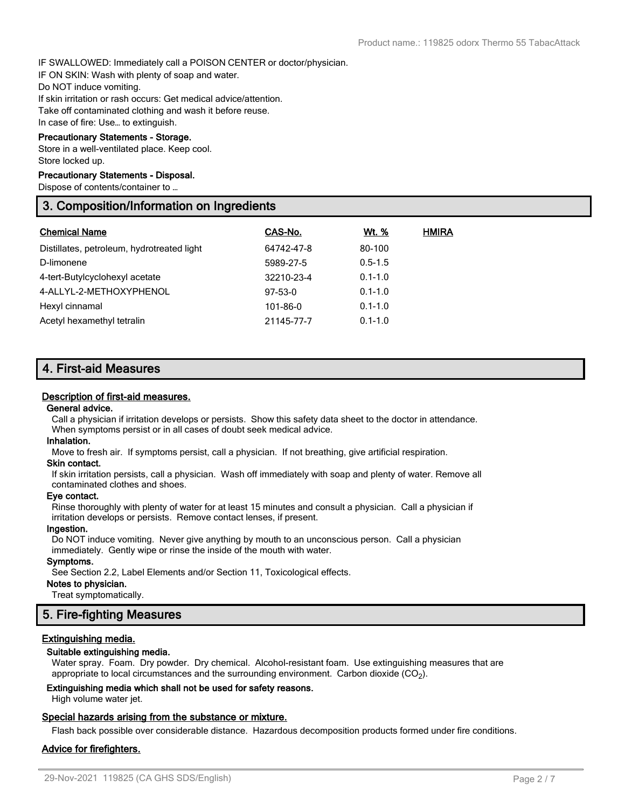IF SWALLOWED: Immediately call a POISON CENTER or doctor/physician.

IF ON SKIN: Wash with plenty of soap and water.

Do NOT induce vomiting.

If skin irritation or rash occurs: Get medical advice/attention.

Take off contaminated clothing and wash it before reuse.

In case of fire: Use… to extinguish.

### **Precautionary Statements - Storage.**

Store in a well-ventilated place. Keep cool. Store locked up.

#### **Precautionary Statements - Disposal.**

Dispose of contents/container to …

## **3. Composition/Information on Ingredients**

| <b>Chemical Name</b>                       | CAS-No.        | Wt. %       | <b>HMIRA</b> |
|--------------------------------------------|----------------|-------------|--------------|
| Distillates, petroleum, hydrotreated light | 64742-47-8     | 80-100      |              |
| D-limonene                                 | 5989-27-5      | $0.5 - 1.5$ |              |
| 4-tert-Butylcyclohexyl acetate             | 32210-23-4     | $0.1 - 1.0$ |              |
| 4-ALLYL-2-METHOXYPHENOL                    | $97-53-0$      | $0.1 - 1.0$ |              |
| Hexyl cinnamal                             | $101 - 86 - 0$ | $0.1 - 1.0$ |              |
| Acetyl hexamethyl tetralin                 | 21145-77-7     | $0.1 - 1.0$ |              |

## **4. First-aid Measures**

#### **Description of first-aid measures.**

#### **General advice.**

Call a physician if irritation develops or persists. Show this safety data sheet to the doctor in attendance. When symptoms persist or in all cases of doubt seek medical advice.

#### **Inhalation.**

Move to fresh air. If symptoms persist, call a physician. If not breathing, give artificial respiration.

### **Skin contact.**

If skin irritation persists, call a physician. Wash off immediately with soap and plenty of water. Remove all contaminated clothes and shoes.

#### **Eye contact.**

Rinse thoroughly with plenty of water for at least 15 minutes and consult a physician. Call a physician if irritation develops or persists. Remove contact lenses, if present.

#### **Ingestion.**

Do NOT induce vomiting. Never give anything by mouth to an unconscious person. Call a physician immediately. Gently wipe or rinse the inside of the mouth with water.

### **Symptoms.**

See Section 2.2, Label Elements and/or Section 11, Toxicological effects.

### **Notes to physician.**

Treat symptomatically.

## **5. Fire-fighting Measures**

### **Extinguishing media.**

### **Suitable extinguishing media.**

Water spray. Foam. Dry powder. Dry chemical. Alcohol-resistant foam. Use extinguishing measures that are appropriate to local circumstances and the surrounding environment. Carbon dioxide (CO<sub>2</sub>).

#### **Extinguishing media which shall not be used for safety reasons.**

High volume water jet.

### **Special hazards arising from the substance or mixture.**

Flash back possible over considerable distance. Hazardous decomposition products formed under fire conditions.

### **Advice for firefighters.**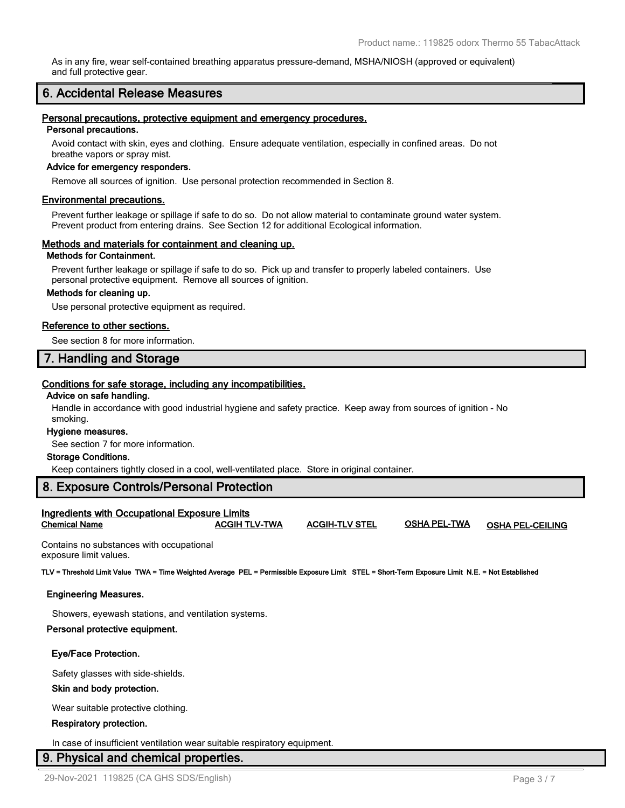As in any fire, wear self-contained breathing apparatus pressure-demand, MSHA/NIOSH (approved or equivalent) and full protective gear.

### **6. Accidental Release Measures**

### **Personal precautions, protective equipment and emergency procedures.**

### **Personal precautions.**

Avoid contact with skin, eyes and clothing. Ensure adequate ventilation, especially in confined areas. Do not breathe vapors or spray mist.

#### **Advice for emergency responders.**

Remove all sources of ignition. Use personal protection recommended in Section 8.

#### **Environmental precautions.**

Prevent further leakage or spillage if safe to do so. Do not allow material to contaminate ground water system. Prevent product from entering drains. See Section 12 for additional Ecological information.

#### **Methods and materials for containment and cleaning up.**

#### **Methods for Containment.**

Prevent further leakage or spillage if safe to do so. Pick up and transfer to properly labeled containers. Use personal protective equipment. Remove all sources of ignition.

### **Methods for cleaning up.**

Use personal protective equipment as required.

#### **Reference to other sections.**

See section 8 for more information.

### **7. Handling and Storage**

#### **Conditions for safe storage, including any incompatibilities.**

#### **Advice on safe handling.**

Handle in accordance with good industrial hygiene and safety practice. Keep away from sources of ignition - No smoking.

#### **Hygiene measures.**

See section 7 for more information.

#### **Storage Conditions.**

Keep containers tightly closed in a cool, well-ventilated place. Store in original container.

### **8. Exposure Controls/Personal Protection**

#### **Ingredients with Occupational Exposure Limits Chemical Name ACGIH TLV-TWA ACGIH-TLV STEL OSHA PEL-TWA OSHA PEL-CEILING**

Contains no substances with occupational exposure limit values.

**TLV = Threshold Limit Value TWA = Time Weighted Average PEL = Permissible Exposure Limit STEL = Short-Term Exposure Limit N.E. = Not Established**

#### **Engineering Measures.**

Showers, eyewash stations, and ventilation systems.

#### **Personal protective equipment.**

#### **Eye/Face Protection.**

Safety glasses with side-shields.

#### **Skin and body protection.**

Wear suitable protective clothing.

#### **Respiratory protection.**

In case of insufficient ventilation wear suitable respiratory equipment.

### **9. Physical and chemical properties.**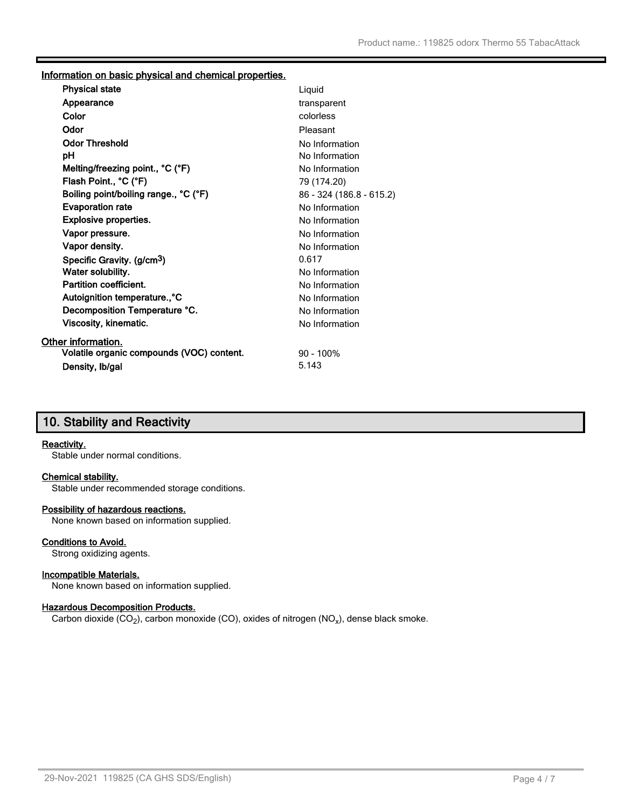### **Information on basic physical and chemical properties.**

| <b>Physical state</b>                     | Liquid                   |
|-------------------------------------------|--------------------------|
| Appearance                                | transparent              |
| Color                                     | colorless                |
| Odor                                      | Pleasant                 |
| <b>Odor Threshold</b>                     | No Information           |
| рH                                        | No Information           |
| Melting/freezing point., °C (°F)          | No Information           |
| Flash Point., °C (°F)                     | 79 (174.20)              |
| Boiling point/boiling range., °C (°F)     | 86 - 324 (186.8 - 615.2) |
| <b>Evaporation rate</b>                   | No Information           |
| <b>Explosive properties.</b>              | No Information           |
| Vapor pressure.                           | No Information           |
| Vapor density.                            | No Information           |
| Specific Gravity. (g/cm <sup>3</sup> )    | 0.617                    |
| Water solubility.                         | No Information           |
| <b>Partition coefficient.</b>             | No Information           |
| Autoignition temperature., °C             | No Information           |
| Decomposition Temperature °C.             | No Information           |
| Viscosity, kinematic.                     | No Information           |
| <b>Other information.</b>                 |                          |
| Volatile organic compounds (VOC) content. | $90 - 100\%$             |
| Density, Ib/gal                           | 5.143                    |
|                                           |                          |

## **10. Stability and Reactivity**

### **Reactivity.**

Stable under normal conditions.

### **Chemical stability.**

Stable under recommended storage conditions.

### **Possibility of hazardous reactions.**

None known based on information supplied.

### **Conditions to Avoid.**

Strong oxidizing agents.

### **Incompatible Materials.**

None known based on information supplied.

### **Hazardous Decomposition Products.**

Carbon dioxide (CO<sub>2</sub>), carbon monoxide (CO), oxides of nitrogen (NO<sub>x</sub>), dense black smoke.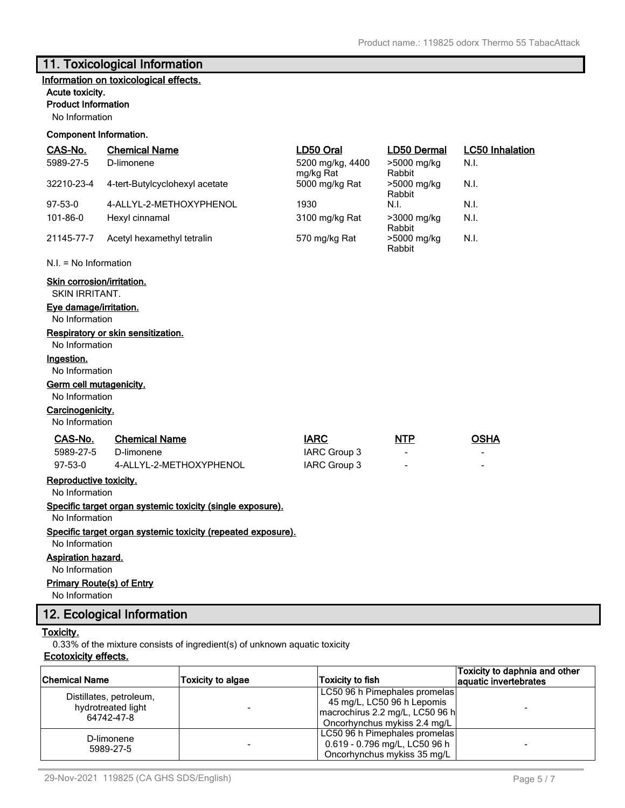## **11. Toxicological Information**

## **Information on toxicological effects.**

### **Acute toxicity.**

### **Product Information**

No Information

### **Component Information.**

| CAS-No.                                                                       | <b>Chemical Name</b>                                         | LD50 Oral                     | LD50 Dermal           | <b>LC50 Inhalation</b> |
|-------------------------------------------------------------------------------|--------------------------------------------------------------|-------------------------------|-----------------------|------------------------|
| 5989-27-5                                                                     | D-limonene                                                   | 5200 mg/kg, 4400<br>mg/kg Rat | >5000 mg/kg<br>Rabbit | N.I.                   |
| 32210-23-4                                                                    | 4-tert-Butylcyclohexyl acetate                               | 5000 mg/kg Rat                | >5000 mg/kg<br>Rabbit | N.I.                   |
| $97-53-0$                                                                     | 4-ALLYL-2-METHOXYPHENOL                                      | 1930                          | N.I.                  | N.I.                   |
| 101-86-0                                                                      | Hexyl cinnamal                                               | 3100 mg/kg Rat                | >3000 mg/kg<br>Rabbit | N.I.                   |
| 21145-77-7                                                                    | Acetyl hexamethyl tetralin                                   | 570 mg/kg Rat                 | >5000 mg/kg<br>Rabbit | N.I.                   |
| $N.I. = No Information$                                                       |                                                              |                               |                       |                        |
| Skin corrosion/irritation.<br><b>SKIN IRRITANT.</b><br>Eye damage/irritation. |                                                              |                               |                       |                        |
| No Information                                                                |                                                              |                               |                       |                        |
| No Information                                                                | Respiratory or skin sensitization.                           |                               |                       |                        |
| Ingestion.                                                                    |                                                              |                               |                       |                        |
| No Information                                                                |                                                              |                               |                       |                        |
| <b>Germ cell mutagenicity.</b>                                                |                                                              |                               |                       |                        |
| No Information                                                                |                                                              |                               |                       |                        |
| Carcinogenicity.                                                              |                                                              |                               |                       |                        |
| No Information                                                                |                                                              |                               |                       |                        |
| CAS-No.                                                                       | <b>Chemical Name</b>                                         | <b>IARC</b>                   | <b>NTP</b>            | <b>OSHA</b>            |
| 5989-27-5                                                                     | D-limonene                                                   | <b>IARC Group 3</b>           |                       | $\overline{a}$         |
| $97-53-0$                                                                     | 4-ALLYL-2-METHOXYPHENOL                                      | IARC Group 3                  |                       |                        |
| Reproductive toxicity.                                                        |                                                              |                               |                       |                        |
| No Information                                                                |                                                              |                               |                       |                        |
| No Information                                                                | Specific target organ systemic toxicity (single exposure).   |                               |                       |                        |
|                                                                               | Specific target organ systemic toxicity (repeated exposure). |                               |                       |                        |
| No Information                                                                |                                                              |                               |                       |                        |
| <b>Aspiration hazard.</b>                                                     |                                                              |                               |                       |                        |
| No Information                                                                |                                                              |                               |                       |                        |
|                                                                               | <b>Primary Route(s) of Entry</b>                             |                               |                       |                        |
| No Information                                                                |                                                              |                               |                       |                        |

## **12. Ecological Information**

### **Toxicity.**

0.33% of the mixture consists of ingredient(s) of unknown aquatic toxicity

## **Ecotoxicity effects.**

|                                               |                          |                                 | Toxicity to daphnia and other |
|-----------------------------------------------|--------------------------|---------------------------------|-------------------------------|
| <b>Chemical Name</b>                          | <b>Toxicity to algae</b> | Toxicity to fish                | aquatic invertebrates         |
|                                               |                          | LC50 96 h Pimephales promelas   |                               |
| Distillates, petroleum,<br>hydrotreated light |                          | 45 mg/L, LC50 96 h Lepomis      |                               |
| 64742-47-8                                    |                          | macrochirus 2.2 mg/L, LC50 96 h |                               |
|                                               |                          | Oncorhynchus mykiss 2.4 mg/L    |                               |
| D-limonene                                    |                          | LC50 96 h Pimephales promelas   |                               |
| 5989-27-5                                     |                          | 0.619 - 0.796 mg/L, LC50 96 h   |                               |
|                                               |                          | Oncorhynchus mykiss 35 mg/L     |                               |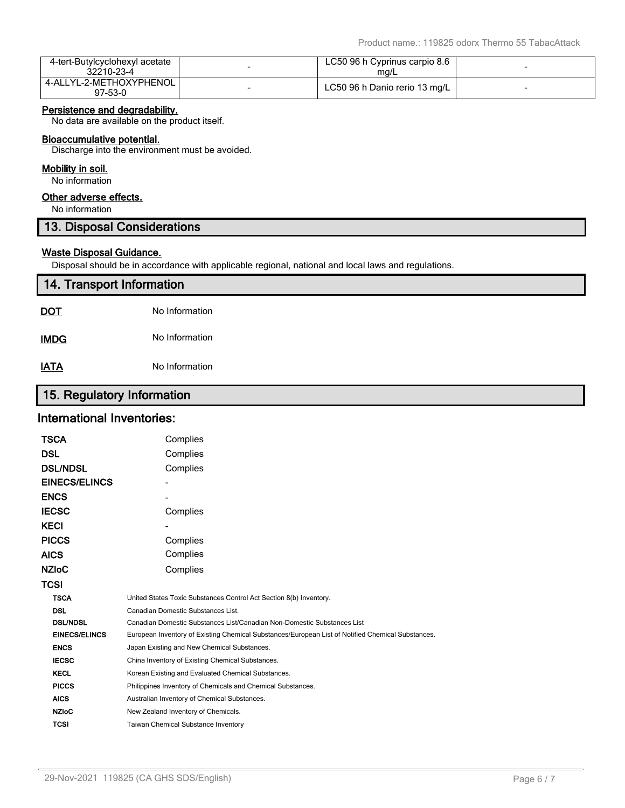| 4-tert-Butylcyclohexyl acetate<br>32210-23-4 | LC50 96 h Cyprinus carpio 8.6<br>ma/L |  |
|----------------------------------------------|---------------------------------------|--|
| 4-ALLYL-2-METHOXYPHENOL<br>97-53-0           | LC50 96 h Danio rerio 13 mg/L         |  |

### **Persistence and degradability.**

No data are available on the product itself.

### **Bioaccumulative potential.**

Discharge into the environment must be avoided.

### **Mobility in soil.**

No information

### **Other adverse effects.**

No information

## **13. Disposal Considerations**

### **Waste Disposal Guidance.**

Disposal should be in accordance with applicable regional, national and local laws and regulations.

| 14. Transport Information |                |  |  |
|---------------------------|----------------|--|--|
| <u>DOT</u>                | No Information |  |  |
| <b>IMDG</b>               | No Information |  |  |
| <u>IATA</u>               | No Information |  |  |

## **15. Regulatory Information**

## **International Inventories:**

| <b>TSCA</b>          | Complies                                                                                          |
|----------------------|---------------------------------------------------------------------------------------------------|
| <b>DSL</b>           | Complies                                                                                          |
| <b>DSL/NDSL</b>      | Complies                                                                                          |
| <b>EINECS/ELINCS</b> |                                                                                                   |
| <b>ENCS</b>          |                                                                                                   |
| <b>IECSC</b>         | Complies                                                                                          |
| <b>KECI</b>          |                                                                                                   |
| <b>PICCS</b>         | Complies                                                                                          |
| <b>AICS</b>          | Complies                                                                                          |
| <b>NZIOC</b>         | Complies                                                                                          |
| TCSI                 |                                                                                                   |
| <b>TSCA</b>          | United States Toxic Substances Control Act Section 8(b) Inventory.                                |
| <b>DSL</b>           | Canadian Domestic Substances List.                                                                |
| <b>DSL/NDSL</b>      | Canadian Domestic Substances List/Canadian Non-Domestic Substances List                           |
| <b>EINECS/ELINCS</b> | European Inventory of Existing Chemical Substances/European List of Notified Chemical Substances. |
| <b>ENCS</b>          | Japan Existing and New Chemical Substances.                                                       |
| <b>IECSC</b>         | China Inventory of Existing Chemical Substances.                                                  |
| <b>KECL</b>          | Korean Existing and Evaluated Chemical Substances.                                                |
| <b>PICCS</b>         | Philippines Inventory of Chemicals and Chemical Substances.                                       |
| <b>AICS</b>          | Australian Inventory of Chemical Substances.                                                      |
| <b>NZIoC</b>         | New Zealand Inventory of Chemicals.                                                               |
| <b>TCSI</b>          | <b>Taiwan Chemical Substance Inventory</b>                                                        |
|                      |                                                                                                   |